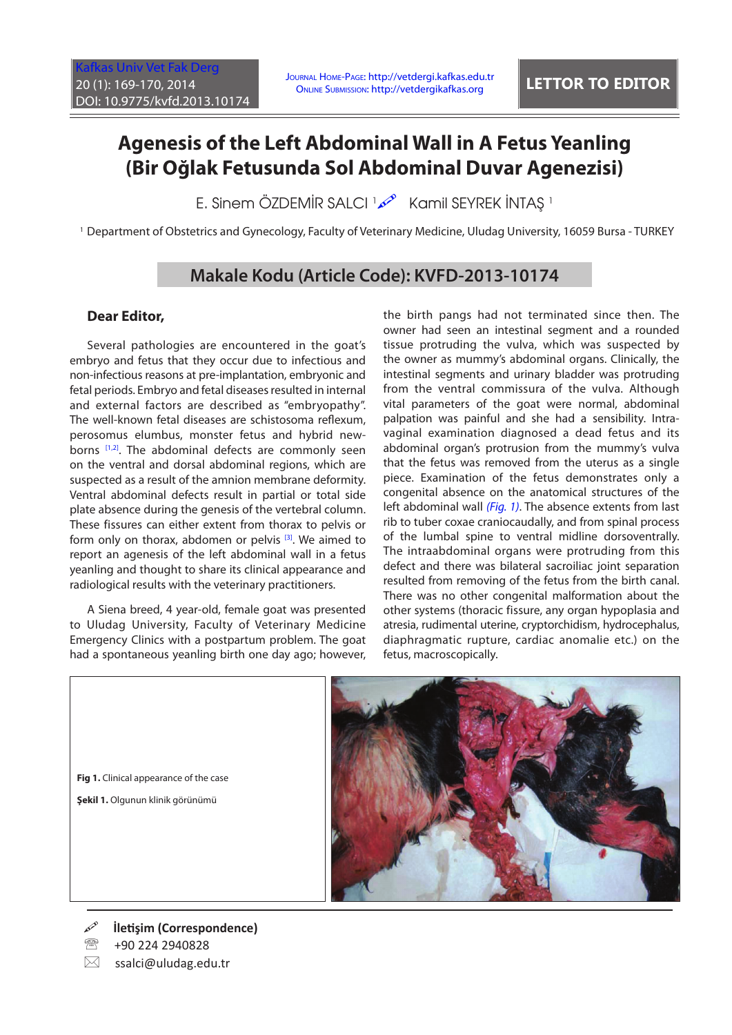## **Agenesis of the Left Abdominal Wall in A Fetus Yeanling (Bir Oğlak Fetusunda Sol Abdominal Duvar Agenezisi)**

E. Sinem ÖZDEMİR SALCI المحتمر الكلكة Kamil SEYREK İNTAŞ

<sup>1</sup> Department of Obstetrics and Gynecology, Faculty of Veterinary Medicine, Uludag University, 16059 Bursa - TURKEY

## **Makale Kodu (Article Code): KVFD-2013-10174**

## **Dear Editor,**

Several pathologies are encountered in the goat's embryo and fetus that they occur due to infectious and non-infectious reasons at pre-implantation, embryonic and fetal periods. Embryo and fetal diseases resulted in internal and external factors are described as "embryopathy". The well-known fetal diseases are schistosoma reflexum, perosomus elumbus, monster fetus and hybrid new-borns [\[1,2\].](#page-1-0) The abdominal defects are commonly seen on the ventral and dorsal abdominal regions, which are suspected as a result of the amnion membrane deformity. Ventral abdominal defects result in partial or total side plate absence during the genesis of the vertebral column. These fissures can either extent from thorax to pelvis or form only on thorax, abdomen or pelvis  $[3]$ . We aimed to report an agenesis of the left abdominal wall in a fetus yeanling and thought to share its clinical appearance and radiological results with the veterinary practitioners.

A Siena breed, 4 year-old, female goat was presented to Uludag University, Faculty of Veterinary Medicine Emergency Clinics with a postpartum problem. The goat had a spontaneous yeanling birth one day ago; however,

the birth pangs had not terminated since then. The owner had seen an intestinal segment and a rounded tissue protruding the vulva, which was suspected by the owner as mummy's abdominal organs. Clinically, the intestinal segments and urinary bladder was protruding from the ventral commissura of the vulva. Although vital parameters of the goat were normal, abdominal palpation was painful and she had a sensibility. Intravaginal examination diagnosed a dead fetus and its abdominal organ's protrusion from the mummy's vulva that the fetus was removed from the uterus as a single piece. Examination of the fetus demonstrates only a congenital absence on the anatomical structures of the left abdominal wall *(Fig. 1)*. The absence extents from last rib to tuber coxae craniocaudally, and from spinal process of the lumbal spine to ventral midline dorsoventrally. The intraabdominal organs were protruding from this defect and there was bilateral sacroiliac joint separation resulted from removing of the fetus from the birth canal. There was no other congenital malformation about the other systems (thoracic fissure, any organ hypoplasia and atresia, rudimental uterine, cryptorchidism, hydrocephalus, diaphragmatic rupture, cardiac anomalie etc.) on the fetus, macroscopically.



- **İletişim (Correspondence)**
- +90 224 2940828

**Fig 1.** Clinical appearance of the case **Şekil 1.** Olgunun klinik görünümü

 $\boxtimes$  ssalci@uludag.edu.tr